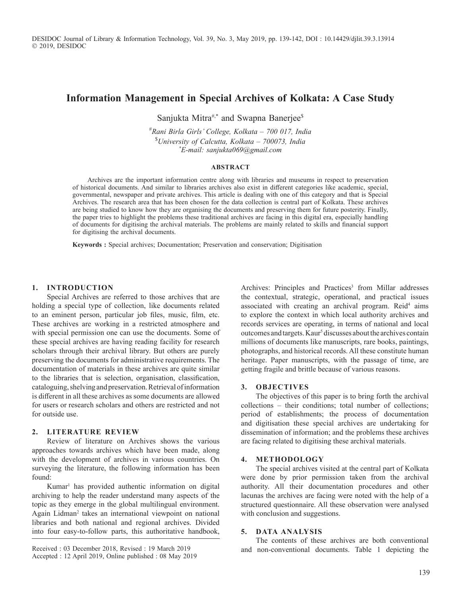DESIDOC Journal of Library & Information Technology, Vol. 39, No. 3, May 2019, pp. 139-142, DOI : 10.14429/djlit.39.3.13914 2019, DESIDOC

# **Information Management in Special Archives of Kolkata: A Case Study**

Sanjukta Mitra#,\* and Swapna Banerjee<sup>\$</sup>

#*Rani Birla Girls' College, Kolkata – 700 017, India*  \$*University of Calcutta, Kolkata – 700073, India \*E-mail: sanjukta069@gmail.com*

#### **ABSTRACT**

Archives are the important information centre along with libraries and museums in respect to preservation of historical documents. And similar to libraries archives also exist in different categories like academic, special, governmental, newspaper and private archives. This article is dealing with one of this category and that is Special Archives. The research area that has been chosen for the data collection is central part of Kolkata. These archives are being studied to know how they are organising the documents and preserving them for future posterity. Finally, the paper tries to highlight the problems these traditional archives are facing in this digital era, especially handling of documents for digitising the archival materials. The problems are mainly related to skills and financial support for digitising the archival documents.

**Keywords :** Special archives; Documentation; Preservation and conservation; Digitisation

#### **1. INTRODUCTION**

Special Archives are referred to those archives that are holding a special type of collection, like documents related to an eminent person, particular job files, music, film, etc. These archives are working in a restricted atmosphere and with special permission one can use the documents. Some of these special archives are having reading facility for research scholars through their archival library. But others are purely preserving the documents for administrative requirements. The documentation of materials in these archives are quite similar to the libraries that is selection, organisation, classification, cataloguing, shelving and preservation. Retrieval of information is different in all these archives as some documents are allowed for users or research scholars and others are restricted and not for outside use.

## **2. LITERATURE REVIEW**

Review of literature on Archives shows the various approaches towards archives which have been made, along with the development of archives in various countries. On surveying the literature, the following information has been found:

Kumar<sup>1</sup> has provided authentic information on digital archiving to help the reader understand many aspects of the topic as they emerge in the global multilingual environment. Again Lidman<sup>2</sup> takes an international viewpoint on national libraries and both national and regional archives. Divided into four easy-to-follow parts, this authoritative handbook,

Archives: Principles and Practices<sup>3</sup> from Millar addresses the contextual, strategic, operational, and practical issues associated with creating an archival program. Reid<sup>4</sup> aims to explore the context in which local authority archives and records services are operating, in terms of national and local outcomes and targets. Kaur<sup>5</sup> discusses about the archives contain millions of documents like manuscripts, rare books, paintings, photographs, and historical records. All these constitute human heritage. Paper manuscripts, with the passage of time, are getting fragile and brittle because of various reasons.

#### **3. OBJECTIVES**

The objectives of this paper is to bring forth the archival collections – their conditions; total number of collections; period of establishments; the process of documentation and digitisation these special archives are undertaking for dissemination of information; and the problems these archives are facing related to digitising these archival materials.

## **4. METHODOLOGY**

The special archives visited at the central part of Kolkata were done by prior permission taken from the archival authority. All their documentation procedures and other lacunas the archives are facing were noted with the help of a structured questionnaire. All these observation were analysed with conclusion and suggestions.

### **5. DATA ANALYSIS**

The contents of these archives are both conventional and non-conventional documents. Table 1 depicting the

Received : 03 December 2018, Revised : 19 March 2019 Accepted : 12 April 2019, Online published : 08 May 2019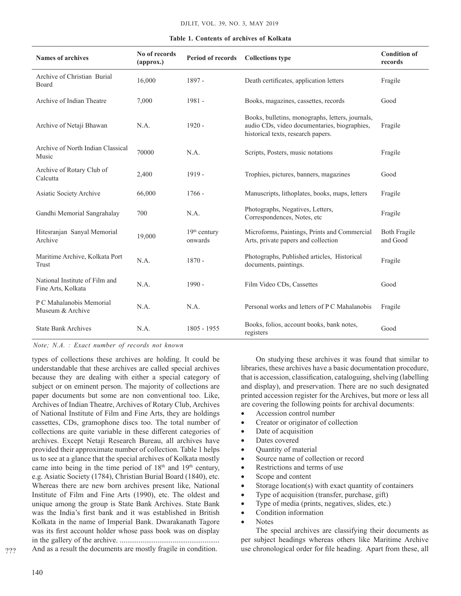| <b>Names of archives</b>                             | No of records<br>(approx.) | Period of records         | <b>Collections type</b>                                                                                                                | <b>Condition of</b><br>records |
|------------------------------------------------------|----------------------------|---------------------------|----------------------------------------------------------------------------------------------------------------------------------------|--------------------------------|
| Archive of Christian Burial<br>Board                 | 16,000                     | 1897 -                    | Death certificates, application letters                                                                                                | Fragile                        |
| Archive of Indian Theatre                            | 7,000                      | $1981 -$                  | Books, magazines, cassettes, records                                                                                                   | Good                           |
| Archive of Netaji Bhawan                             | N.A.                       | $1920 -$                  | Books, bulletins, monographs, letters, journals,<br>audio CDs, video documentaries, biographies,<br>historical texts, research papers. | Fragile                        |
| Archive of North Indian Classical<br>Music           | 70000                      | N.A.                      | Scripts, Posters, music notations                                                                                                      | Fragile                        |
| Archive of Rotary Club of<br>Calcutta                | 2,400                      | $1919 -$                  | Trophies, pictures, banners, magazines                                                                                                 | Good                           |
| Asiatic Society Archive                              | 66,000                     | $1766 -$                  | Manuscripts, lithoplates, books, maps, letters                                                                                         | Fragile                        |
| Gandhi Memorial Sangrahalay                          | 700                        | N.A.                      | Photographs, Negatives, Letters,<br>Correspondences, Notes, etc.                                                                       | Fragile                        |
| Hitesranjan Sanyal Memorial<br>Archive               | 19,000                     | $19th$ century<br>onwards | Microforms, Paintings, Prints and Commercial<br>Arts, private papers and collection                                                    | Both Fragile<br>and Good       |
| Maritime Archive, Kolkata Port<br>Trust              | N.A.                       | $1870 -$                  | Photographs, Published articles, Historical<br>documents, paintings.                                                                   | Fragile                        |
| National Institute of Film and<br>Fine Arts, Kolkata | N.A.                       | 1990 -                    | Film Video CDs, Cassettes                                                                                                              | Good                           |
| P C Mahalanobis Memorial<br>Museum & Archive         | N.A.                       | N.A.                      | Personal works and letters of P C Mahalanobis                                                                                          | Fragile                        |
| <b>State Bank Archives</b>                           | N.A.                       | $1805 - 1955$             | Books, folios, account books, bank notes,<br>registers                                                                                 | Good                           |

**Table 1. Contents of archives of Kolkata**

*Note; N.A. : Exact number of records not known*

types of collections these archives are holding. It could be understandable that these archives are called special archives because they are dealing with either a special category of subject or on eminent person. The majority of collections are paper documents but some are non conventional too. Like, Archives of Indian Theatre, Archives of Rotary Club, Archives of National Institute of Film and Fine Arts, they are holdings cassettes, CDs, gramophone discs too. The total number of collections are quite variable in these different categories of archives. Except Netaji Research Bureau, all archives have provided their approximate number of collection. Table 1 helps us to see at a glance that the special archives of Kolkata mostly came into being in the time period of  $18<sup>th</sup>$  and  $19<sup>th</sup>$  century, e.g. Asiatic Society (1784), Christian Burial Board (1840), etc. Whereas there are new born archives present like, National Institute of Film and Fine Arts (1990), etc. The oldest and unique among the group is State Bank Archives. State Bank was the India's first bank and it was established in British Kolkata in the name of Imperial Bank. Dwarakanath Tagore was its first account holder whose pass book was on display in the gallery of the archive. ..................................................... And as a result the documents are mostly fragile in condition.

On studying these archives it was found that similar to libraries, these archives have a basic documentation procedure, that is accession, classification, cataloguing, shelving (labelling and display), and preservation. There are no such designated printed accession register for the Archives, but more or less all are covering the following points for archival documents:

- Accession control number
- Creator or originator of collection
- Date of acquisition
- Dates covered
- **Cuantity of material**
- Source name of collection or record
- Restrictions and terms of use
- Scope and content
- Storage location(s) with exact quantity of containers
- Type of acquisition (transfer, purchase, gift)
- Type of media (prints, negatives, slides, etc.)
- Condition information
- Notes

The special archives are classifying their documents as per subject headings whereas others like Maritime Archive use chronological order for file heading. Apart from these, all

???

140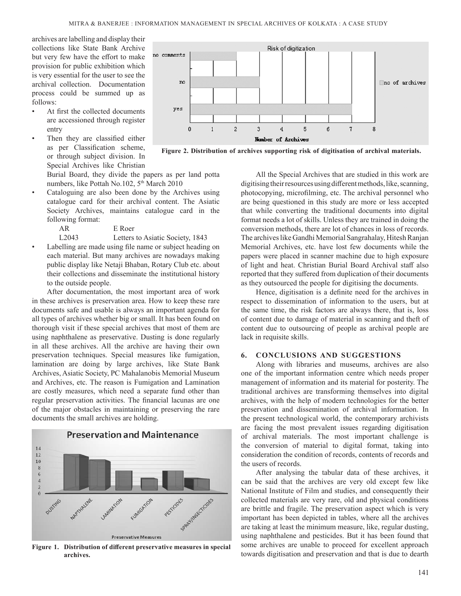archives are labelling and display their collections like State Bank Archive but very few have the effort to make provision for public exhibition which is very essential for the user to see the archival collection. Documentation process could be summed up as follows:

- At first the collected documents are accessioned through register entry
- Then they are classified either as per Classification scheme, or through subject division. In Special Archives like Christian

Burial Board, they divide the papers as per land potta numbers, like Pottah No.102, 5<sup>th</sup> March 2010

- Cataloguing are also been done by the Archives using catalogue card for their archival content. The Asiatic Society Archives, maintains catalogue card in the following format:
	- AR E Roer

L2043 Letters to Asiatic Society, 1843

Labelling are made using file name or subject heading on each material. But many archives are nowadays making public display like Netaji Bhaban, Rotary Club etc. about their collections and disseminate the institutional history to the outside people.

After documentation, the most important area of work in these archives is preservation area. How to keep these rare documents safe and usable is always an important agenda for all types of archives whether big or small. It has been found on thorough visit if these special archives that most of them are using naphthalene as preservative. Dusting is done regularly in all these archives. All the archive are having their own preservation techniques. Special measures like fumigation, lamination are doing by large archives, like State Bank Archives, Asiatic Society, PC Mahalanobis Memorial Museum and Archives, etc. The reason is Fumigation and Lamination are costly measures, which need a separate fund other than regular preservation activities. The financial lacunas are one of the major obstacles in maintaining or preserving the rare documents the small archives are holding.



**Figure 1. Distribution of different preservative measures in special archives.**



**Figure 2. Distribution of archives supporting risk of digitisation of archival materials.**

All the Special Archives that are studied in this work are digitising their resources using different methods, like, scanning, photocopying, microfilming, etc. The archival personnel who are being questioned in this study are more or less accepted that while converting the traditional documents into digital format needs a lot of skills. Unless they are trained in doing the conversion methods, there are lot of chances in loss of records. The archives like Gandhi Memorial Sangrahalay, Hitesh Ranjan Memorial Archives, etc. have lost few documents while the papers were placed in scanner machine due to high exposure of light and heat. Christian Burial Board Archival staff also reported that they suffered from duplication of their documents as they outsourced the people for digitising the documents.

Hence, digitisation is a definite need for the archives in respect to dissemination of information to the users, but at the same time, the risk factors are always there, that is, loss of content due to damage of material in scanning and theft of content due to outsourcing of people as archival people are lack in requisite skills.

# **6. CONCLUSIONS AND SUGGESTIONS**

Along with libraries and museums, archives are also one of the important information centre which needs proper management of information and its material for posterity. The traditional archives are transforming themselves into digital archives, with the help of modern technologies for the better preservation and dissemination of archival information. In the present technological world, the contemporary archivists are facing the most prevalent issues regarding digitisation of archival materials. The most important challenge is the conversion of material to digital format, taking into consideration the condition of records, contents of records and the users of records.

After analysing the tabular data of these archives, it can be said that the archives are very old except few like National Institute of Film and studies, and consequently their collected materials are very rare, old and physical conditions are brittle and fragile. The preservation aspect which is very important has been depicted in tables, where all the archives are taking at least the minimum measure, like, regular dusting, using naphthalene and pesticides. But it has been found that some archives are unable to proceed for excellent approach towards digitisation and preservation and that is due to dearth